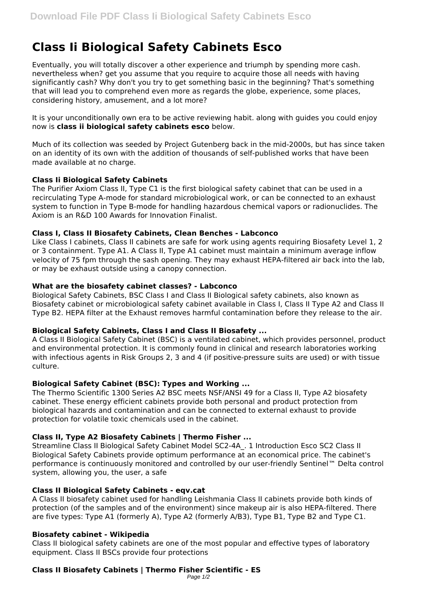# **Class Ii Biological Safety Cabinets Esco**

Eventually, you will totally discover a other experience and triumph by spending more cash. nevertheless when? get you assume that you require to acquire those all needs with having significantly cash? Why don't you try to get something basic in the beginning? That's something that will lead you to comprehend even more as regards the globe, experience, some places, considering history, amusement, and a lot more?

It is your unconditionally own era to be active reviewing habit. along with guides you could enjoy now is **class ii biological safety cabinets esco** below.

Much of its collection was seeded by Project Gutenberg back in the mid-2000s, but has since taken on an identity of its own with the addition of thousands of self-published works that have been made available at no charge.

# **Class Ii Biological Safety Cabinets**

The Purifier Axiom Class II, Type C1 is the first biological safety cabinet that can be used in a recirculating Type A-mode for standard microbiological work, or can be connected to an exhaust system to function in Type B-mode for handling hazardous chemical vapors or radionuclides. The Axiom is an R&D 100 Awards for Innovation Finalist.

# **Class I, Class II Biosafety Cabinets, Clean Benches - Labconco**

Like Class I cabinets, Class II cabinets are safe for work using agents requiring Biosafety Level 1, 2 or 3 containment. Type A1. A Class II, Type A1 cabinet must maintain a minimum average inflow velocity of 75 fpm through the sash opening. They may exhaust HEPA-filtered air back into the lab, or may be exhaust outside using a canopy connection.

# **What are the biosafety cabinet classes? - Labconco**

Biological Safety Cabinets, BSC Class I and Class II Biological safety cabinets, also known as Biosafety cabinet or microbiological safety cabinet available in Class I, Class II Type A2 and Class II Type B2. HEPA filter at the Exhaust removes harmful contamination before they release to the air.

# **Biological Safety Cabinets, Class I and Class II Biosafety ...**

A Class II Biological Safety Cabinet (BSC) is a ventilated cabinet, which provides personnel, product and environmental protection. It is commonly found in clinical and research laboratories working with infectious agents in Risk Groups 2, 3 and 4 (if positive-pressure suits are used) or with tissue culture.

# **Biological Safety Cabinet (BSC): Types and Working ...**

The Thermo Scientific 1300 Series A2 BSC meets NSF/ANSI 49 for a Class II, Type A2 biosafety cabinet. These energy efficient cabinets provide both personal and product protection from biological hazards and contamination and can be connected to external exhaust to provide protection for volatile toxic chemicals used in the cabinet.

# **Class II, Type A2 Biosafety Cabinets | Thermo Fisher ...**

Streamline Class II Biological Safety Cabinet Model SC2-4A\_. 1 Introduction Esco SC2 Class II Biological Safety Cabinets provide optimum performance at an economical price. The cabinet's performance is continuously monitored and controlled by our user-friendly Sentinel™ Delta control system, allowing you, the user, a safe

# **Class II Biological Safety Cabinets - eqv.cat**

A Class II biosafety cabinet used for handling Leishmania Class II cabinets provide both kinds of protection (of the samples and of the environment) since makeup air is also HEPA-filtered. There are five types: Type A1 (formerly A), Type A2 (formerly A/B3), Type B1, Type B2 and Type C1.

# **Biosafety cabinet - Wikipedia**

Class II biological safety cabinets are one of the most popular and effective types of laboratory equipment. Class II BSCs provide four protections

# **Class II Biosafety Cabinets | Thermo Fisher Scientific - ES**

Page 1/2